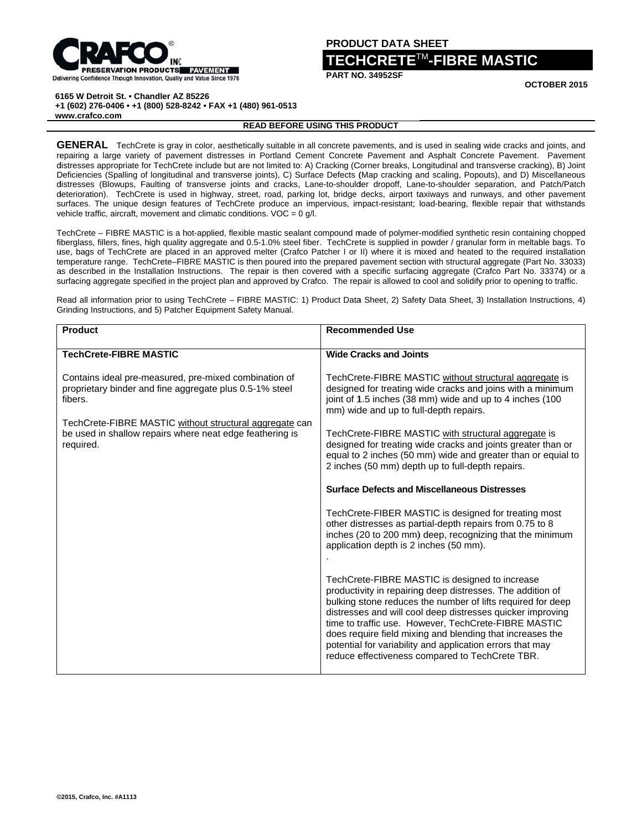

### **PRODUCT DATA SHEET**

# $\mathsf{ICRETE}^{\sf TM}\text{-}\mathsf{FIBRE}\ \mathsf{MASTIC}$

OCTOBER 2015

6165 W Detroit St. . Chandler AZ 85226

+1 (602) 276-0406 · +1 (800) 528-8242 · FAX +1 (480) 961-0513 www.crafco.com

## **READ BEFORE USING THIS PRODUCT**

GENERAL TechCrete is gray in color, aesthetically suitable in all concrete pavements, and is used in sealing wide cracks and joints, and repairing a large variety of pavement distresses in Portland Cement Concrete Pavement and Asphalt Concrete Pavement. Pavement distresses appropriate for TechCrete include but are not limited to: A) Cracking (Corner breaks, Longitudinal and transverse cracking), B) Joint Deficiencies (Spalling of longitudinal and transverse joints), C) Surface Defects (Map cracking and scaling, Popouts), and D) Miscellaneous distresses (Blowups, Faulting of transverse joints and cracks, Lane-to-shoulder dropoff, Lane-to-shoulder separation, and Patch/Patch deterioration). TechCrete is used in highway, street, road, parking lot, bridge decks, airport taxiways and runways, and other pavement surfaces. The unique design features of TechCrete produce an impervious, impact-resistant; load-bearing, flexible repair that withstands vehicle traffic, aircraft, movement and climatic conditions.  $VOC = 0$  q/l.

TechCrete – FIBRE MASTIC is a hot-applied, flexible mastic sealant compound made of polymer-modified synthetic resin containing chopped fiberglass, fillers, fines, high quality aggregate and 0.5-1.0% steel fiber. TechCrete is supplied in powder / granular form in meltable bags. To use, bags of TechCrete are placed in an approved melter (Crafco Patcher I or II) where it is mixed and heated to the required installation temperature range. TechCrete-FIBRE MASTIC is then poured into the prepared pavement section with structural aggregate (Part No. 33033) as described in the Installation Instructions. The repair is then covered with a specific surfacing aggregate (Cratco Part No. 33374) or a surfacing aggregate specified in the project plan and approved by Crafco. The repair is allowed to cool and solidify prior to opening to traffic.

Read all information prior to using TechCrete - FIBRE MASTIC: 1) Product Data Sheet, 2) Safety Data Sheet, 3) Installation Instructions, 4) Grinding Instructions, and 5) Patcher Equipment Safety Manual.

| <b>Product</b>                                                                                                                   | <b>Recommended Use</b>                                                                                                                                                                                                                                                                                                                                                                                                                                                         |
|----------------------------------------------------------------------------------------------------------------------------------|--------------------------------------------------------------------------------------------------------------------------------------------------------------------------------------------------------------------------------------------------------------------------------------------------------------------------------------------------------------------------------------------------------------------------------------------------------------------------------|
| <b>TechCrete-FIBRE MASTIC</b>                                                                                                    | <b>Wide Cracks and Joints</b>                                                                                                                                                                                                                                                                                                                                                                                                                                                  |
| Contains ideal pre-measured, pre-mixed combination of<br>proprietary binder and fine aggregate plus 0.5-1% steel<br>fibers.      | TechCrete-FIBRE MASTIC without structural aggregate is<br>designed for treating wide cracks and joins with a minimum<br>joint of 1.5 inches (38 mm) wide and up to 4 inches (100<br>mm) wide and up to full-depth repairs.                                                                                                                                                                                                                                                     |
| TechCrete-FIBRE MASTIC without structural aggregate can<br>be used in shallow repairs where neat edge feathering is<br>required. | TechCrete-FIBRE MASTIC with structural aggregate is<br>designed for treating wide cracks and joints greater than or<br>equal to 2 inches (50 mm) wide and greater than or equial to<br>2 inches (50 mm) depth up to full-depth repairs.                                                                                                                                                                                                                                        |
|                                                                                                                                  | <b>Surface Defects and Miscellaneous Distresses</b>                                                                                                                                                                                                                                                                                                                                                                                                                            |
|                                                                                                                                  | TechCrete-FIBER MASTIC is designed for treating most<br>other distresses as partial-depth repairs from 0.75 to 8<br>inches (20 to 200 mm) deep, recognizing that the minimum<br>application depth is 2 inches (50 mm).                                                                                                                                                                                                                                                         |
|                                                                                                                                  | TechCrete-FIBRE MASTIC is designed to increase<br>productivity in repairing deep distresses. The addition of<br>bulking stone reduces the number of lifts required for deep<br>distresses and will cool deep distresses quicker improving<br>time to traffic use. However, TechCrete-FIBRE MASTIC<br>does require field mixing and blending that increases the<br>potential for variability and application errors that may<br>reduce effectiveness compared to TechCrete TBR. |